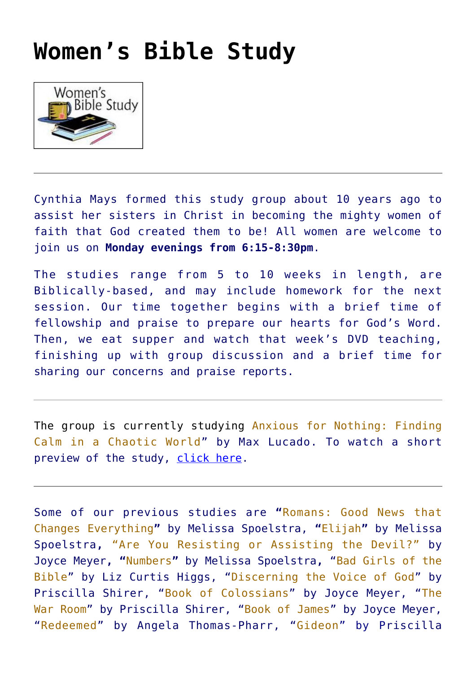## **[Women's Bible Study](https://stjohanneschurch.org/womens-bible-study/)**



Cynthia Mays formed this study group about 10 years ago to assist her sisters in Christ in becoming the mighty women of faith that God created them to be! All women are welcome to join us on **Monday evenings from 6:15-8:30pm**.

The studies range from 5 to 10 weeks in length, are Biblically-based, and may include homework for the next session. Our time together begins with a brief time of fellowship and praise to prepare our hearts for God's Word. Then, we eat supper and watch that week's DVD teaching, finishing up with group discussion and a brief time for sharing our concerns and praise reports.

The group is currently studying Anxious for Nothing: Finding Calm in a Chaotic World" by Max Lucado. To watch a short preview of the study, [click here.](https://www.youtube.com/watch?v=c_3_jdcusEM)

Some of our previous studies are **"**Romans: Good News that Changes Everything**"** by Melissa Spoelstra, **"**Elijah**"** by Melissa Spoelstra**,** "Are You Resisting or Assisting the Devil?" by Joyce Meyer**, "**Numbers**"** by Melissa Spoelstra**,** "Bad Girls of the Bible" by Liz Curtis Higgs, "Discerning the Voice of God" by Priscilla Shirer, "Book of Colossians" by Joyce Meyer, "The War Room" by Priscilla Shirer, "Book of James" by Joyce Meyer, "Redeemed" by Angela Thomas-Pharr, "Gideon" by Priscilla